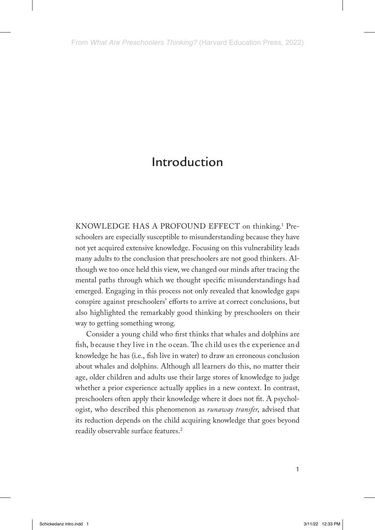KNOWLEDGE HAS A PROFOUND EFFECT on thinking.<sup>1</sup> Preschoolers are especially susceptible to misunderstanding because they have not yet acquired extensive knowledge. Focusing on this vulnerability leads many adults to the conclusion that preschoolers are not good thinkers. Although we too once held this view, we changed our minds after tracing the mental paths through which we thought specific misunderstandings had emerged. Engaging in this process not only revealed that knowledge gaps conspire against preschoolers' efforts to arrive at correct conclusions, but also highlighted the remarkably good thinking by preschoolers on their way to getting something wrong.

Consider a young child who first thinks that whales and dolphins are fish, because they live in the ocean. The child us es the experience and knowledge he has (i.e., fish live in water) to draw an erroneous conclusion about whales and dolphins. Although all learners do this, no matter their age, older children and adults use their large stores of knowledge to judge whether a prior experience actually applies in a new context. In contrast, preschoolers often apply their knowledge where it does not fit. A psychologist, who described this phenomenon as *runaway transfer*, advised that its reduction depends on the child acquiring knowledge that goes beyond readily observable surface features.<sup>2</sup>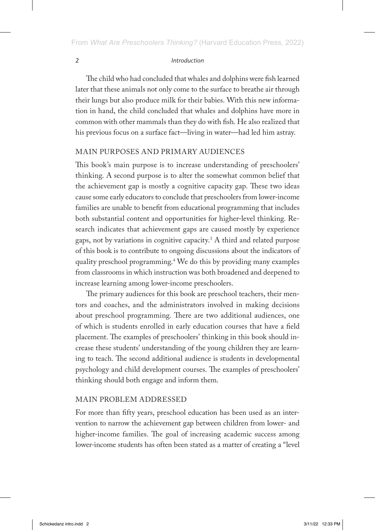The child who had concluded that whales and dolphins were fish learned later that these animals not only come to the surface to breathe air through their lungs but also produce milk for their babies. With this new information in hand, the child concluded that whales and dolphins have more in common with other mammals than they do with fish. He also realized that his previous focus on a surface fact—living in water—had led him astray.

# MAIN PURPOSES AND PRIMARY AUDIENCES

This book's main purpose is to increase understanding of preschoolers' thinking. A second purpose is to alter the somewhat common belief that the achievement gap is mostly a cognitive capacity gap. These two ideas cause some early educators to conclude that preschoolers from lower-income families are unable to benefit from educational programming that includes both substantial content and opportunities for higher-level thinking. Research indicates that achievement gaps are caused mostly by experience gaps, not by variations in cognitive capacity. $^3$  A third and related purpose of this book is to contribute to ongoing discussions about the indicators of quality preschool programming.4 We do this by providing many examples from classrooms in which instruction was both broadened and deepened to increase learning among lower-income preschoolers.

The primary audiences for this book are preschool teachers, their mentors and coaches, and the administrators involved in making decisions about preschool programming. There are two additional audiences, one of which is students enrolled in early education courses that have a field placement. The examples of preschoolers' thinking in this book should increase these students' understanding of the young children they are learning to teach. The second additional audience is students in developmental psychology and child development courses. The examples of preschoolers' thinking should both engage and inform them.

## MAIN PROBLEM ADDRESSED

For more than fifty years, preschool education has been used as an intervention to narrow the achievement gap between children from lower- and higher-income families. The goal of increasing academic success among lower-income students has often been stated as a matter of creating a "level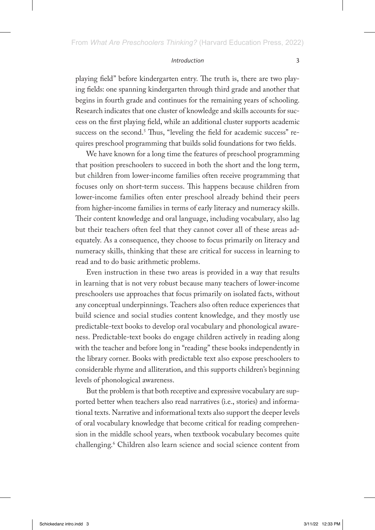playing field" before kindergarten entry. The truth is, there are two playing fields: one spanning kindergarten through third grade and another that begins in fourth grade and continues for the remaining years of schooling. Research indicates that one cluster of knowledge and skills accounts for success on the first playing field, while an additional cluster supports academic success on the second.<sup>5</sup> Thus, "leveling the field for academic success" requires preschool programming that builds solid foundations for two fields.

We have known for a long time the features of preschool programming that position preschoolers to succeed in both the short and the long term, but children from lower-income families often receive programming that focuses only on short-term success. This happens because children from lower-income families often enter preschool already behind their peers from higher-income families in terms of early literacy and numeracy skills. Their content knowledge and oral language, including vocabulary, also lag but their teachers often feel that they cannot cover all of these areas adequately. As a consequence, they choose to focus primarily on literacy and numeracy skills, thinking that these are critical for success in learning to read and to do basic arithmetic problems.

Even instruction in these two areas is provided in a way that results in learning that is not very robust because many teachers of lower-income preschoolers use approaches that focus primarily on isolated facts, without any conceptual underpinnings. Teachers also often reduce experiences that build science and social studies content knowledge, and they mostly use predictable-text books to develop oral vocabulary and phonological awareness. Predictable-text books do engage children actively in reading along with the teacher and before long in "reading" these books independently in the library corner. Books with predictable text also expose preschoolers to considerable rhyme and alliteration, and this supports children's beginning levels of phonological awareness.

But the problem is that both receptive and expressive vocabulary are supported better when teachers also read narratives (i.e., stories) and informational texts. Narrative and informational texts also support the deeper levels of oral vocabulary knowledge that become critical for reading comprehension in the middle school years, when textbook vocabulary becomes quite challenging.6 Children also learn science and social science content from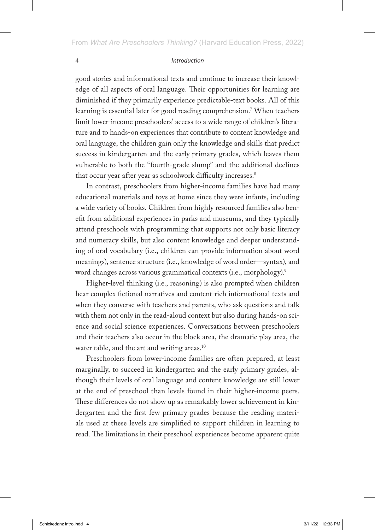good stories and informational texts and continue to increase their knowledge of all aspects of oral language. Their opportunities for learning are diminished if they primarily experience predictable-text books. All of this learning is essential later for good reading comprehension.7 When teachers limit lower-income preschoolers' access to a wide range of children's literature and to hands-on experiences that contribute to content knowledge and oral language, the children gain only the knowledge and skills that predict success in kindergarten and the early primary grades, which leaves them vulnerable to both the "fourth-grade slump" and the additional declines that occur year after year as schoolwork difficulty increases.<sup>8</sup>

In contrast, preschoolers from higher-income families have had many educational materials and toys at home since they were infants, including a wide variety of books. Children from highly resourced families also benefit from additional experiences in parks and museums, and they typically attend preschools with programming that supports not only basic literacy and numeracy skills, but also content knowledge and deeper understanding of oral vocabulary (i.e., children can provide information about word meanings), sentence structure (i.e., knowledge of word order—syntax), and word changes across various grammatical contexts (i.e., morphology).<sup>9</sup>

Higher-level thinking (i.e., reasoning) is also prompted when children hear complex fictional narratives and content-rich informational texts and when they converse with teachers and parents, who ask questions and talk with them not only in the read-aloud context but also during hands-on science and social science experiences. Conversations between preschoolers and their teachers also occur in the block area, the dramatic play area, the water table, and the art and writing areas.<sup>10</sup>

Preschoolers from lower-income families are often prepared, at least marginally, to succeed in kindergarten and the early primary grades, although their levels of oral language and content knowledge are still lower at the end of preschool than levels found in their higher-income peers. These differences do not show up as remarkably lower achievement in kindergarten and the first few primary grades because the reading materials used at these levels are simplified to support children in learning to read. The limitations in their preschool experiences become apparent quite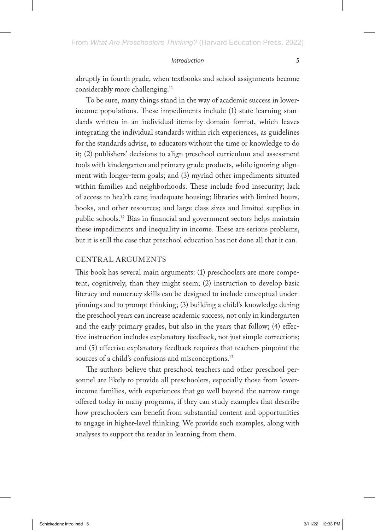abruptly in fourth grade, when textbooks and school assignments become considerably more challenging.<sup>11</sup>

To be sure, many things stand in the way of academic success in lowerincome populations. These impediments include (1) state learning standards written in an individual-items-by-domain format, which leaves integrating the individual standards within rich experiences, as guidelines for the standards advise, to educators without the time or knowledge to do it; (2) publishers' decisions to align preschool curriculum and assessment tools with kindergarten and primary grade products, while ignoring alignment with longer-term goals; and (3) myriad other impediments situated within families and neighborhoods. These include food insecurity; lack of access to health care; inadequate housing; libraries with limited hours, books, and other resources; and large class sizes and limited supplies in public schools.12 Bias in financial and government sectors helps maintain these impediments and inequality in income. These are serious problems, but it is still the case that preschool education has not done all that it can.

## CENTRAL ARGUMENTS

This book has several main arguments: (1) preschoolers are more competent, cognitively, than they might seem; (2) instruction to develop basic literacy and numeracy skills can be designed to include conceptual underpinnings and to prompt thinking; (3) building a child's knowledge during the preschool years can increase academic success, not only in kindergarten and the early primary grades, but also in the years that follow; (4) effective instruction includes explanatory feedback, not just simple corrections; and (5) effective explanatory feedback requires that teachers pinpoint the sources of a child's confusions and misconceptions.<sup>13</sup>

The authors believe that preschool teachers and other preschool personnel are likely to provide all preschoolers, especially those from lowerincome families, with experiences that go well beyond the narrow range offered today in many programs, if they can study examples that describe how preschoolers can benefit from substantial content and opportunities to engage in higher-level thinking. We provide such examples, along with analyses to support the reader in learning from them.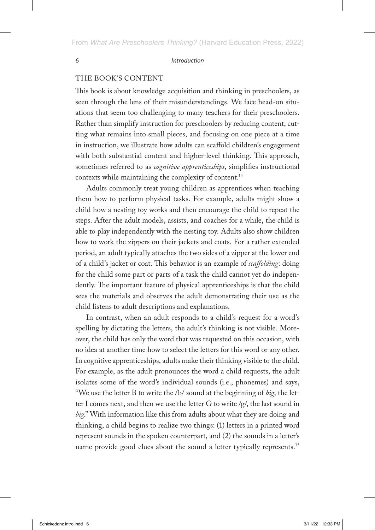## THE BOOK'S CONTENT

This book is about knowledge acquisition and thinking in preschoolers, as seen through the lens of their misunderstandings. We face head-on situations that seem too challenging to many teachers for their preschoolers. Rather than simplify instruction for preschoolers by reducing content, cutting what remains into small pieces, and focusing on one piece at a time in instruction, we illustrate how adults can scaffold children's engagement with both substantial content and higher-level thinking. This approach, sometimes referred to as *cognitive apprenticeships*, simplifies instructional contexts while maintaining the complexity of content.<sup>14</sup>

Adults commonly treat young children as apprentices when teaching them how to perform physical tasks. For example, adults might show a child how a nesting toy works and then encourage the child to repeat the steps. After the adult models, assists, and coaches for a while, the child is able to play independently with the nesting toy. Adults also show children how to work the zippers on their jackets and coats. For a rather extended period, an adult typically attaches the two sides of a zipper at the lower end of a child's jacket or coat. This behavior is an example of *scaffolding*: doing for the child some part or parts of a task the child cannot yet do independently. The important feature of physical apprenticeships is that the child sees the materials and observes the adult demonstrating their use as the child listens to adult descriptions and explanations.

In contrast, when an adult responds to a child's request for a word's spelling by dictating the letters, the adult's thinking is not visible. Moreover, the child has only the word that was requested on this occasion, with no idea at another time how to select the letters for this word or any other. In cognitive apprenticeships, adults make their thinking visible to the child. For example, as the adult pronounces the word a child requests, the adult isolates some of the word's individual sounds (i.e., phonemes) and says, "We use the letter B to write the /b/ sound at the beginning of *big*, the letter I comes next, and then we use the letter G to write  $/g/$ , the last sound in *big*." With information like this from adults about what they are doing and thinking, a child begins to realize two things: (1) letters in a printed word represent sounds in the spoken counterpart, and (2) the sounds in a letter's name provide good clues about the sound a letter typically represents.<sup>15</sup>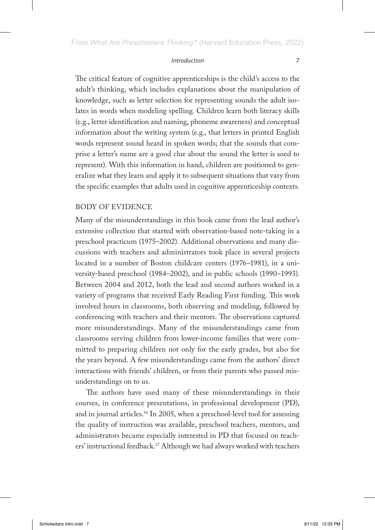The critical feature of cognitive apprenticeships is the child's access to the adult's thinking, which includes explanations about the manipulation of knowledge, such as letter selection for representing sounds the adult isolates in words when modeling spelling. Children learn both literacy skills (e.g., letter identification and naming, phoneme awareness) and conceptual information about the writing system (e.g., that letters in printed English words represent sound heard in spoken words; that the sounds that comprise a letter's name are a good clue about the sound the letter is used to represent). With this information in hand, children are positioned to generalize what they learn and apply it to subsequent situations that vary from the specific examples that adults used in cognitive apprenticeship contexts.

## BODY OF EVIDENCE

Many of the misunderstandings in this book came from the lead author's extensive collection that started with observation-based note-taking in a preschool practicum (1975–2002). Additional observations and many discussions with teachers and administrators took place in several projects located in a number of Boston childcare centers (1976–1981), in a university-based preschool (1984–2002), and in public schools (1990–1993). Between 2004 and 2012, both the lead and second authors worked in a variety of programs that received Early Reading First funding. This work involved hours in classrooms, both observing and modeling, followed by conferencing with teachers and their mentors. The observations captured more misunderstandings. Many of the misunderstandings came from classrooms serving children from lower-income families that were committed to preparing children not only for the early grades, but also for the years beyond. A few misunderstandings came from the authors' direct interactions with friends' children, or from their parents who passed misunderstandings on to us.

The authors have used many of these misunderstandings in their courses, in conference presentations, in professional development (PD), and in journal articles.16 In 2005, when a preschool-level tool for assessing the quality of instruction was available, preschool teachers, mentors, and administrators became especially interested in PD that focused on teachers' instructional feedback.17 Although we had always worked with teachers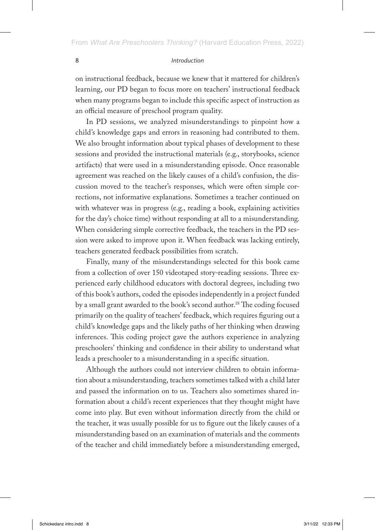on instructional feedback, because we knew that it mattered for children's learning, our PD began to focus more on teachers' instructional feedback when many programs began to include this specific aspect of instruction as an official measure of preschool program quality.

In PD sessions, we analyzed misunderstandings to pinpoint how a child's knowledge gaps and errors in reasoning had contributed to them. We also brought information about typical phases of development to these sessions and provided the instructional materials (e.g., storybooks, science artifacts) that were used in a misunderstanding episode. Once reasonable agreement was reached on the likely causes of a child's confusion, the discussion moved to the teacher's responses, which were often simple corrections, not informative explanations. Sometimes a teacher continued on with whatever was in progress (e.g., reading a book, explaining activities for the day's choice time) without responding at all to a misunderstanding. When considering simple corrective feedback, the teachers in the PD session were asked to improve upon it. When feedback was lacking entirely, teachers generated feedback possibilities from scratch.

Finally, many of the misunderstandings selected for this book came from a collection of over 150 videotaped story-reading sessions. Three experienced early childhood educators with doctoral degrees, including two of this book's authors, coded the episodes independently in a project funded by a small grant awarded to the book's second author.<sup>18</sup> The coding focused primarily on the quality of teachers' feedback, which requires figuring out a child's knowledge gaps and the likely paths of her thinking when drawing inferences. This coding project gave the authors experience in analyzing preschoolers' thinking and confidence in their ability to understand what leads a preschooler to a misunderstanding in a specific situation.

Although the authors could not interview children to obtain information about a misunderstanding, teachers sometimes talked with a child later and passed the information on to us. Teachers also sometimes shared information about a child's recent experiences that they thought might have come into play. But even without information directly from the child or the teacher, it was usually possible for us to figure out the likely causes of a misunderstanding based on an examination of materials and the comments of the teacher and child immediately before a misunderstanding emerged,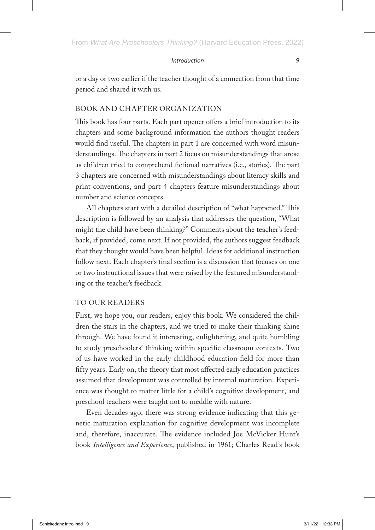or a day or two earlier if the teacher thought of a connection from that time period and shared it with us.

## BOOK AND CHAPTER ORGANIZATION

This book has four parts. Each part opener offers a brief introduction to its chapters and some background information the authors thought readers would find useful. The chapters in part 1 are concerned with word misunderstandings. The chapters in part 2 focus on misunderstandings that arose as children tried to comprehend fictional narratives (i.e., stories). The part 3 chapters are concerned with misunderstandings about literacy skills and print conventions, and part 4 chapters feature misunderstandings about number and science concepts.

All chapters start with a detailed description of "what happened." This description is followed by an analysis that addresses the question, "What might the child have been thinking?" Comments about the teacher's feedback, if provided, come next. If not provided, the authors suggest feedback that they thought would have been helpful. Ideas for additional instruction follow next. Each chapter's final section is a discussion that focuses on one or two instructional issues that were raised by the featured misunderstanding or the teacher's feedback.

## TO OUR READERS

First, we hope you, our readers, enjoy this book. We considered the children the stars in the chapters, and we tried to make their thinking shine through. We have found it interesting, enlightening, and quite humbling to study preschoolers' thinking within specific classroom contexts. Two of us have worked in the early childhood education field for more than fifty years. Early on, the theory that most affected early education practices assumed that development was controlled by internal maturation. Experience was thought to matter little for a child's cognitive development, and preschool teachers were taught not to meddle with nature.

Even decades ago, there was strong evidence indicating that this genetic maturation explanation for cognitive development was incomplete and, therefore, inaccurate. The evidence included Joe McVicker Hunt's book *Intelligence and Experience*, published in 1961; Charles Read's book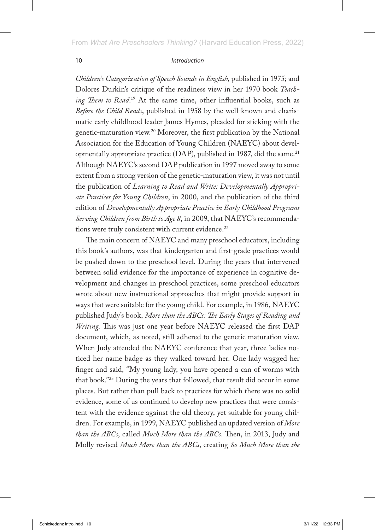*Children's Categorization of Speech Sounds in English*, published in 1975; and Dolores Durkin's critique of the readiness view in her 1970 book *Teaching Them to Read*. 19 At the same time, other influential books, such as *Before the Child Reads*, published in 1958 by the well-known and charismatic early childhood leader James Hymes, pleaded for sticking with the genetic-maturation view.20 Moreover, the first publication by the National Association for the Education of Young Children (NAEYC) about developmentally appropriate practice (DAP), published in 1987, did the same. $^{21}$ Although NAEYC's second DAP publication in 1997 moved away to some extent from a strong version of the genetic-maturation view, it was not until the publication of *Learning to Read and Write: Developmentally Appropriate Practices for Young Children*, in 2000, and the publication of the third edition of *Developmentally Appropriate Practice in Early Childhood Programs Serving Children from Birth to Age 8*, in 2009, that NAEYC's recommendations were truly consistent with current evidence.<sup>22</sup>

The main concern of NAEYC and many preschool educators, including this book's authors, was that kindergarten and first-grade practices would be pushed down to the preschool level. During the years that intervened between solid evidence for the importance of experience in cognitive development and changes in preschool practices, some preschool educators wrote about new instructional approaches that might provide support in ways that were suitable for the young child. For example, in 1986, NAEYC published Judy's book, *More than the ABCs: The Early Stages of Reading and Writing*. This was just one year before NAEYC released the first DAP document, which, as noted, still adhered to the genetic maturation view. When Judy attended the NAEYC conference that year, three ladies noticed her name badge as they walked toward her. One lady wagged her finger and said, "My young lady, you have opened a can of worms with that book."23 During the years that followed, that result did occur in some places. But rather than pull back to practices for which there was no solid evidence, some of us continued to develop new practices that were consistent with the evidence against the old theory, yet suitable for young children. For example, in 1999, NAEYC published an updated version of *More than the ABCs*, called *Much More than the ABCs*. Then, in 2013, Judy and Molly revised *Much More than the ABCs*, creating *So Much More than the*